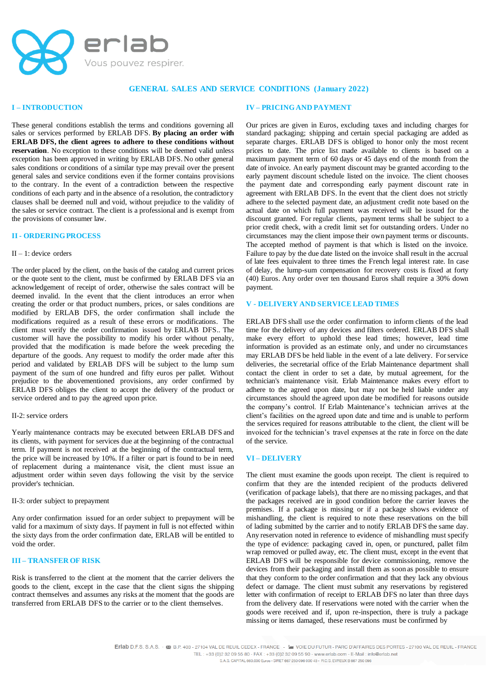

### **GENERAL SALES AND SERVICE CONDITIONS (January 2022)**

## **I – INTRODUCTION**

These general conditions establish the terms and conditions governing all sales or services performed by ERLAB DFS. **By placing an order with ERLAB DFS, the client agrees to adhere to these conditions without reservation**. No exception to these conditions will be deemed valid unless exception has been approved in writing by ERLAB DFS. No other general sales conditions or conditions of a similar type may prevail over the present general sales and service conditions even if the former contains provisions to the contrary. In the event of a contradiction between the respective conditions of each party and in the absence of a resolution, the contradictory clauses shall be deemed null and void, without prejudice to the validity of the sales or service contract. The client is a professional and is exempt from the provisions of consumer law.

### **II - ORDERING PROCESS**

### $II - 1$ : device orders

The order placed by the client, on the basis of the catalog and current prices or the quote sent to the client, must be confirmed by ERLAB DFS via an acknowledgement of receipt of order, otherwise the sales contract will be deemed invalid. In the event that the client introduces an error when creating the order or that product numbers, prices, or sales conditions are modified by ERLAB DFS, the order confirmation shall include the modifications required as a result of these errors or modifications. The client must verify the order confirmation issued by ERLAB DFS.. The customer will have the possibility to modify his order without penalty, provided that the modification is made before the week preceding the departure of the goods. Any request to modify the order made after this period and validated by ERLAB DFS will be subject to the lump sum payment of the sum of one hundred and fifty euros per pallet. Without prejudice to the abovementioned provisions, any order confirmed by ERLAB DFS obliges the client to accept the delivery of the product or service ordered and to pay the agreed upon price.

#### II-2: service orders

Yearly maintenance contracts may be executed between ERLAB DFS and its clients, with payment for services due at the beginning of the contractual term. If payment is not received at the beginning of the contractual term, the price will be increased by 10%. If a filter or part is found to be in need of replacement during a maintenance visit, the client must issue an adjustment order within seven days following the visit by the service provider's technician.

#### II-3: order subject to prepayment

Any order confirmation issued for an order subject to prepayment will be valid for a maximum of sixty days. If payment in full is not effected within the sixty days from the order confirmation date, ERLAB will be entitled to void the order.

### **III – TRANSFER OF RISK**

Risk is transferred to the client at the moment that the carrier delivers the goods to the client, except in the case that the client signs the shipping contract themselves and assumes any risks at the moment that the goods are transferred from ERLAB DFS to the carrier or to the client themselves.

### **IV – PRICING AND PAYMENT**

Our prices are given in Euros, excluding taxes and including charges for standard packaging; shipping and certain special packaging are added as separate charges. ERLAB DFS is obliged to honor only the most recent prices to date. The price list made available to clients is based on a maximum payment term of 60 days or 45 days end of the month from the date of invoice. An early payment discount may be granted according to the early payment discount schedule listed on the invoice. The client chooses the payment date and corresponding early payment discount rate in agreement with ERLAB DFS. In the event that the client does not strictly adhere to the selected payment date, an adjustment credit note based on the actual date on which full payment was received will be issued for the discount granted. For regular clients, payment terms shall be subject to a prior credit check, with a credit limit set for outstanding orders. Under no circumstances may the client impose their own payment terms or discounts. The accepted method of payment is that which is listed on the invoice. Failure to pay by the due date listed on the invoice shall result in the accrual of late fees equivalent to three times the French legal interest rate. In case of delay, the lump-sum compensation for recovery costs is fixed at forty (40) Euros. Any order over ten thousand Euros shall require a 30% down payment.

## **V - DELIVERY AND SERVICE LEAD TIMES**

ERLAB DFS shall use the order confirmation to inform clients of the lead time for the delivery of any devices and filters ordered. ERLAB DFS shall make every effort to uphold these lead times; however, lead time information is provided as an estimate only, and under no circumstances may ERLAB DFS be held liable in the event of a late delivery. For service deliveries, the secretarial office of the Erlab Maintenance department shall contact the client in order to set a date, by mutual agreement, for the technician's maintenance visit. Erlab Maintenance makes every effort to adhere to the agreed upon date, but may not be held liable under any circumstances should the agreed upon date be modified for reasons outside the company's control. If Erlab Maintenance's technician arrives at the client's facilities on the agreed upon date and time and is unable to perform the services required for reasons attributable to the client, the client will be invoiced for the technician's travel expenses at the rate in force on the date of the service.

### **VI – DELIVERY**

The client must examine the goods upon receipt. The client is required to confirm that they are the intended recipient of the products delivered (verification of package labels), that there are no missing packages, and that the packages received are in good condition before the carrier leaves the premises. If a package is missing or if a package shows evidence of mishandling, the client is required to note these reservations on the bill of lading submitted by the carrier and to notify ERLAB DFS the same day. Any reservation noted in reference to evidence of mishandling must specify the type of evidence: packaging caved in, open, or punctured, pallet film wrap removed or pulled away, etc. The client must, except in the event that ERLAB DFS will be responsible for device commissioning, remove the devices from their packaging and install them as soon as possible to ensure that they conform to the order confirmation and that they lack any obvious defect or damage. The client must submit any reservations by registered letter with confirmation of receipt to ERLAB DFS no later than three days from the delivery date. If reservations were noted with the carrier when the goods were received and if, upon re-inspection, there is truly a package missing or items damaged, these reservations must be confirmed by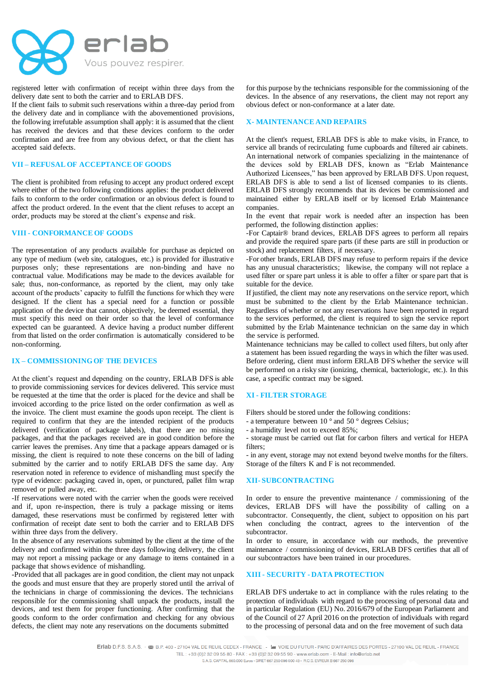

registered letter with confirmation of receipt within three days from the delivery date sent to both the carrier and to ERLAB DFS.

If the client fails to submit such reservations within a three-day period from the delivery date and in compliance with the abovementioned provisions, the following irrefutable assumption shall apply: it is assumed that the client has received the devices and that these devices conform to the order confirmation and are free from any obvious defect, or that the client has accepted said defects.

### **VII – REFUSAL OF ACCEPTANCE OF GOODS**

The client is prohibited from refusing to accept any product ordered except where either of the two following conditions applies: the product delivered fails to conform to the order confirmation or an obvious defect is found to affect the product ordered. In the event that the client refuses to accept an order, products may be stored at the client's expense and risk.

## **VIII - CONFORMANCE OF GOODS**

The representation of any products available for purchase as depicted on any type of medium (web site, catalogues, etc.) is provided for illustrative purposes only; these representations are non-binding and have no contractual value. Modifications may be made to the devices available for sale; thus, non-conformance, as reported by the client, may only take account of the products' capacity to fulfill the functions for which they were designed. If the client has a special need for a function or possible application of the device that cannot, objectively, be deemed essential, they must specify this need on their order so that the level of conformance expected can be guaranteed. A device having a product number different from that listed on the order confirmation is automatically considered to be non-conforming.

#### **IX – COMMISSIONING OF THE DEVICES**

At the client's request and depending on the country, ERLAB DFS is able to provide commissioning services for devices delivered. This service must be requested at the time that the order is placed for the device and shall be invoiced according to the price listed on the order confirmation as well as the invoice. The client must examine the goods upon receipt. The client is required to confirm that they are the intended recipient of the products delivered (verification of package labels), that there are no missing packages, and that the packages received are in good condition before the carrier leaves the premises. Any time that a package appears damaged or is missing, the client is required to note these concerns on the bill of lading submitted by the carrier and to notify ERLAB DFS the same day. Any reservation noted in reference to evidence of mishandling must specify the type of evidence: packaging caved in, open, or punctured, pallet film wrap removed or pulled away, etc.

-If reservations were noted with the carrier when the goods were received and if, upon re-inspection, there is truly a package missing or items damaged, these reservations must be confirmed by registered letter with confirmation of receipt date sent to both the carrier and to ERLAB DFS within three days from the delivery.

In the absence of any reservations submitted by the client at the time of the delivery and confirmed within the three days following delivery, the client may not report a missing package or any damage to items contained in a package that shows evidence of mishandling.

-Provided that all packages are in good condition, the client may not unpack the goods and must ensure that they are properly stored until the arrival of the technicians in charge of commissioning the devices. The technicians responsible for the commissioning shall unpack the products, install the devices, and test them for proper functioning. After confirming that the goods conform to the order confirmation and checking for any obvious defects, the client may note any reservations on the documents submitted

for this purpose by the technicians responsible for the commissioning of the devices. In the absence of any reservations, the client may not report any obvious defect or non-conformance at a later date.

## **X- MAINTENANCE AND REPAIRS**

At the client's request, ERLAB DFS is able to make visits, in France, to service all brands of recirculating fume cupboards and filtered air cabinets. An international network of companies specializing in the maintenance of the devices sold by ERLAB DFS, known as "Erlab Maintenance Authorized Licensees," has been approved by ERLAB DFS. Upon request, ERLAB DFS is able to send a list of licensed companies to its clients. ERLAB DFS strongly recommends that its devices be commissioned and maintained either by ERLAB itself or by licensed Erlab Maintenance companies.

In the event that repair work is needed after an inspection has been performed, the following distinction applies:

-For Captair® brand devices, ERLAB DFS agrees to perform all repairs and provide the required spare parts (if these parts are still in production or stock) and replacement filters, if necessary.

-For other brands, ERLAB DFS may refuse to perform repairs if the device has any unusual characteristics; likewise, the company will not replace a used filter or spare part unless it is able to offer a filter or spare part that is suitable for the device.

If justified, the client may note any reservations on the service report, which must be submitted to the client by the Erlab Maintenance technician. Regardless of whether or not any reservations have been reported in regard to the services performed, the client is required to sign the service report submitted by the Erlab Maintenance technician on the same day in which the service is performed.

Maintenance technicians may be called to collect used filters, but only after a statement has been issued regarding the ways in which the filter was used. Before ordering, client must inform ERLAB DFS whether the service will be performed on a risky site (ionizing, chemical, bacteriologic, etc.). In this case, a specific contract may be signed.

### **XI - FILTER STORAGE**

Filters should be stored under the following conditions:

- a temperature between 10 ° and 50 ° degrees Celsius;

- a humidity level not to exceed 85%;

- storage must be carried out flat for carbon filters and vertical for HEPA filters;

- in any event, storage may not extend beyond twelve months for the filters. Storage of the filters K and F is not recommended.

### **XII- SUBCONTRACTING**

In order to ensure the preventive maintenance / commissioning of the devices, ERLAB DFS will have the possibility of calling on a subcontractor. Consequently, the client, subject to opposition on his part when concluding the contract, agrees to the intervention of the subcontractor.

In order to ensure, in accordance with our methods, the preventive maintenance / commissioning of devices, ERLAB DFS certifies that all of our subcontractors have been trained in our procedures.

## **XIII - SECURITY - DATA PROTECTION**

ERLAB DFS undertake to act in compliance with the rules relating to the protection of individuals with regard to the processing of personal data and in particular Regulation (EU) No. 2016/679 of the European Parliament and of the Council of 27 April 2016 on the protection of individuals with regard to the processing of personal data and on the free movement of such data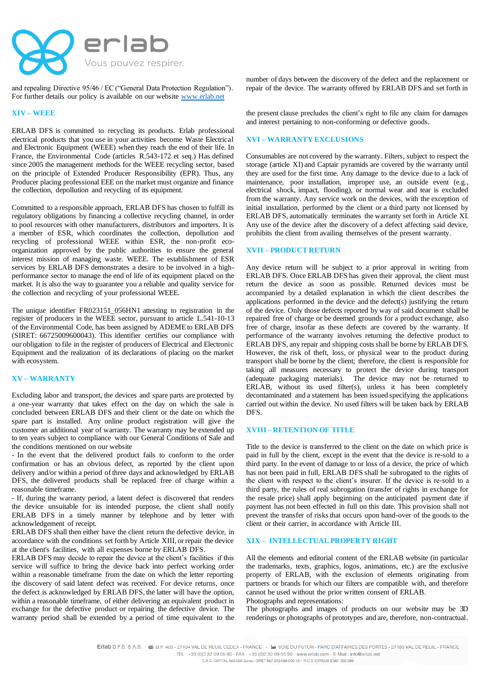

and repealing Directive 95/46 / EC ("General Data Protection Regulation"). For further details our policy is available on our website www.erlab.net

## **XIV – WEEE**

ERLAB DFS is committed to recycling its products. Erlab professional electrical products that you use in your activities become Waste Electrical and Electronic Equipment (WEEE) when they reach the end of their life. In France, the Environmental Code (articles R.543-172 et seq.) Has defined since 2005 the management methods for the WEEE recycling sector, based on the principle of Extended Producer Responsibility (EPR). Thus, any Producer placing professional EEE on the market must organize and finance the collection, depollution and recycling of its equipment.

Committed to a responsible approach, ERLAB DFS has chosen to fulfill its regulatory obligations by financing a collective recycling channel, in order to pool resources with other manufacturers, distributors and importers. It is a member of ESR, which coordinates the collection, depollution and recycling of professional WEEE within ESR, the non-profit ecoorganization approved by the public authorities to ensure the general interest mission of managing waste. WEEE. The establishment of ESR services by ERLAB DFS demonstrates a desire to be involved in a highperformance sector to manage the end of life of its equipment placed on the market. It is also the way to guarantee you a reliable and quality service for the collection and recycling of your professional WEEE.

The unique identifier FR023151\_056HN1 attesting to registration in the register of producers in the WEEE sector, pursuant to article L.541-10-13 of the Environmental Code, has been assigned by ADEME to ERLAB DFS (SIRET: 66725009600043). This identifier certifies our compliance with our obligation to file in the register of producers of Electrical and Electronic Equipment and the realization of its declarations of placing on the market with ecosystem.

## **XV – WARRANTY**

Excluding labor and transport, the devices and spare parts are protected by a one-year warranty that takes effect on the day on which the sale is concluded between ERLAB DFS and their client or the date on which the spare part is installed. Any online product registration will give the customer an additional year of warranty. The warranty may be extended up to ten years subject to compliance with our General Conditions of Sale and the conditions mentioned on our website

- In the event that the delivered product fails to conform to the order confirmation or has an obvious defect, as reported by the client upon delivery and/or within a period of three days and acknowledged by ERLAB DFS, the delivered products shall be replaced free of charge within a reasonable timeframe.

- If, during the warranty period, a latent defect is discovered that renders the device unsuitable for its intended purpose, the client shall notify ERLAB DFS in a timely manner by telephone and by letter with acknowledgement of receipt.

ERLAB DFS shall then either have the client return the defective device, in accordance with the conditions set forth by Article XIII, or repair the device at the client's facilities, with all expenses borne by ERLAB DFS.

ERLAB DFS may decide to repair the device at the client's facilities if this service will suffice to bring the device back into perfect working order within a reasonable timeframe from the date on which the letter reporting the discovery of said latent defect was received. For device returns, once the defect is acknowledged by ERLAB DFS, the latter will have the option, within a reasonable timeframe, of either delivering an equivalent product in exchange for the defective product or repairing the defective device. The warranty period shall be extended by a period of time equivalent to the

number of days between the discovery of the defect and the replacement or repair of the device. The warranty offered by ERLAB DFS and set forth in

the present clause precludes the client's right to file any claim for damages and interest pertaining to non-conforming or defective goods.

## **XVI – WARRANTY EXCLUSIONS**

Consumables are not covered by the warranty. Filters, subject to respect the storage (article XI) and Captair pyramids are covered by the warranty until they are used for the first time. Any damage to the device due to a lack of maintenance, poor installation, improper use, an outside event (e.g., electrical shock, impact, flooding), or normal wear and tear is excluded from the warranty. Any service work on the devices, with the exception of initial installation, performed by the client or a third party not licensed by ERLAB DFS, automatically terminates the warranty set forth in Article XI. Any use of the device after the discovery of a defect affecting said device, prohibits the client from availing themselves of the present warranty.

#### **XVII – PRODUCT RETURN**

Any device return will be subject to a prior approval in writing from ERLAB DFS. Once ERLAB DFS has given their approval, the client must return the device as soon as possible. Returned devices must be accompanied by a detailed explanation in which the client describes the applications performed in the device and the defect(s) justifying the return of the device. Only those defects reported by way of said document shall be repaired free of charge or be deemed grounds for a product exchange, also free of charge, insofar as these defects are covered by the warranty. If performance of the warranty involves returning the defective product to ERLAB DFS, any repair and shipping costs shall be borne by ERLAB DFS. However, the risk of theft, loss, or physical wear to the product during transport shall be borne by the client; therefore, the client is responsible for taking all measures necessary to protect the device during transport (adequate packaging materials). The device may not be returned to ERLAB, without its used filter(s), unless it has been completely decontaminated and a statement has been issued specifying the applications carried out within the device. No used filters will be taken back by ERLAB DFS.

### **XVIII – RETENTION OF TITLE**

Title to the device is transferred to the client on the date on which price is paid in full by the client, except in the event that the device is re-sold to a third party. In the event of damage to or loss of a device, the price of which has not been paid in full, ERLAB DFS shall be subrogated to the rights of the client with respect to the client's insurer. If the device is re-sold to a third party, the rules of real subrogation (transfer of rights in exchange for the resale price) shall apply beginning on the anticipated payment date if payment has not been effected in full on this date. This provision shall not prevent the transfer of risks that occurs upon hand-over of the goods to the client or their carrier, in accordance with Article III.

## **XIX – INTELLECTUAL PROPERTY RIGHT**

All the elements and editorial content of the ERLAB website (in particular the trademarks, texts, graphics, logos, animations, etc.) are the exclusive property of ERLAB, with the exclusion of elements originating from partners or brands for which our filters are compatible with, and therefore cannot be used without the prior written consent of ERLAB.

Photographs and representations:

The photographs and images of products on our website may be 3D renderings or photographs of prototypes and are, therefore, non-contractual.